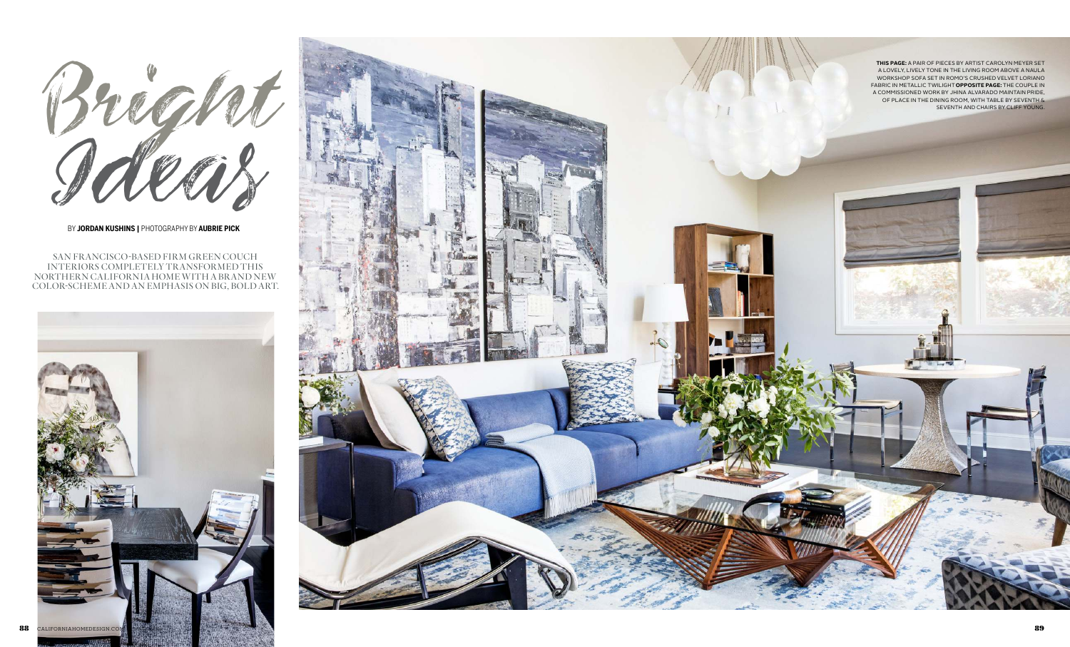Bright Ideas

BY **JORDAN KUSHINS |** PHOTOGRAPHY BY **AUBRIE PICK**

SAN FRANCISCO-BASED FIRM GREEN COUCH INTERIORS COMPLETELY TRANSFORMED THIS NORTHERN CALIFORNIA HOME WITH A BRAND NEW COLOR-SCHEME AND AN EMPHASIS ON BIG, BOLD ART.